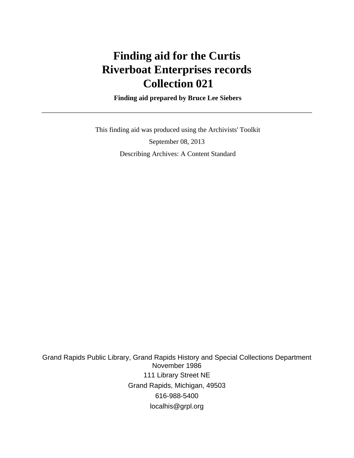# **Finding aid for the Curtis Riverboat Enterprises records Collection 021**

 **Finding aid prepared by Bruce Lee Siebers**

 This finding aid was produced using the Archivists' Toolkit September 08, 2013 Describing Archives: A Content Standard

Grand Rapids Public Library, Grand Rapids History and Special Collections Department November 1986 111 Library Street NE Grand Rapids, Michigan, 49503 616-988-5400 localhis@grpl.org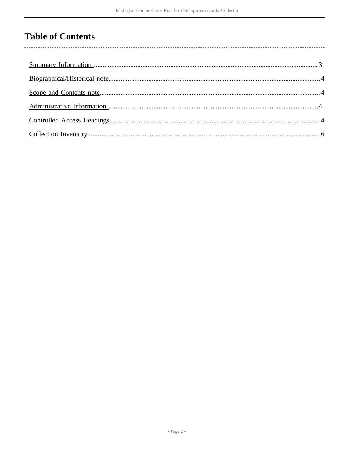## **Table of Contents**

 $\overline{\phantom{a}}$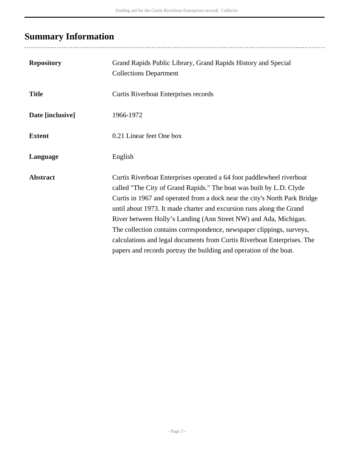# <span id="page-2-0"></span>**Summary Information**

| <b>Repository</b> | Grand Rapids Public Library, Grand Rapids History and Special<br><b>Collections Department</b>                                                                                                                                                                                                                                                                                                                                                                                                                                                                                                  |
|-------------------|-------------------------------------------------------------------------------------------------------------------------------------------------------------------------------------------------------------------------------------------------------------------------------------------------------------------------------------------------------------------------------------------------------------------------------------------------------------------------------------------------------------------------------------------------------------------------------------------------|
| <b>Title</b>      | Curtis Riverboat Enterprises records                                                                                                                                                                                                                                                                                                                                                                                                                                                                                                                                                            |
| Date [inclusive]  | 1966-1972                                                                                                                                                                                                                                                                                                                                                                                                                                                                                                                                                                                       |
| <b>Extent</b>     | 0.21 Linear feet One box                                                                                                                                                                                                                                                                                                                                                                                                                                                                                                                                                                        |
| Language          | English                                                                                                                                                                                                                                                                                                                                                                                                                                                                                                                                                                                         |
| <b>Abstract</b>   | Curtis Riverboat Enterprises operated a 64 foot paddlewheel riverboat<br>called "The City of Grand Rapids." The boat was built by L.D. Clyde<br>Curtis in 1967 and operated from a dock near the city's North Park Bridge<br>until about 1973. It made charter and excursion runs along the Grand<br>River between Holly's Landing (Ann Street NW) and Ada, Michigan.<br>The collection contains correspondence, newspaper clippings, surveys,<br>calculations and legal documents from Curtis Riverboat Enterprises. The<br>papers and records portray the building and operation of the boat. |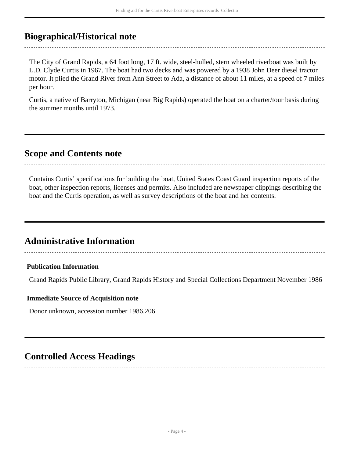## <span id="page-3-0"></span>**Biographical/Historical note**

The City of Grand Rapids, a 64 foot long, 17 ft. wide, steel-hulled, stern wheeled riverboat was built by L.D. Clyde Curtis in 1967. The boat had two decks and was powered by a 1938 John Deer diesel tractor motor. It plied the Grand River from Ann Street to Ada, a distance of about 11 miles, at a speed of 7 miles per hour.

Curtis, a native of Barryton, Michigan (near Big Rapids) operated the boat on a charter/tour basis during the summer months until 1973.

## <span id="page-3-1"></span>**Scope and Contents note**

Contains Curtis' specifications for building the boat, United States Coast Guard inspection reports of the boat, other inspection reports, licenses and permits. Also included are newspaper clippings describing the boat and the Curtis operation, as well as survey descriptions of the boat and her contents.

## <span id="page-3-2"></span>**Administrative Information**

### **Publication Information**

Grand Rapids Public Library, Grand Rapids History and Special Collections Department November 1986

#### **Immediate Source of Acquisition note**

Donor unknown, accession number 1986.206

## <span id="page-3-3"></span>**Controlled Access Headings**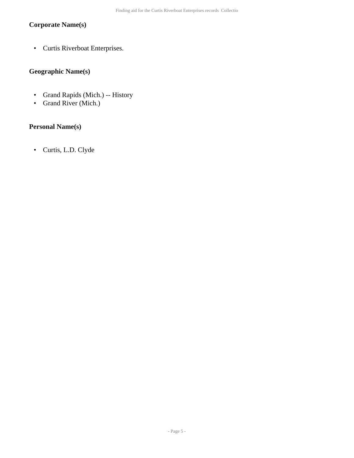## **Corporate Name(s)**

• Curtis Riverboat Enterprises.

### **Geographic Name(s)**

- Grand Rapids (Mich.) -- History
- Grand River (Mich.)

### **Personal Name(s)**

• Curtis, L.D. Clyde